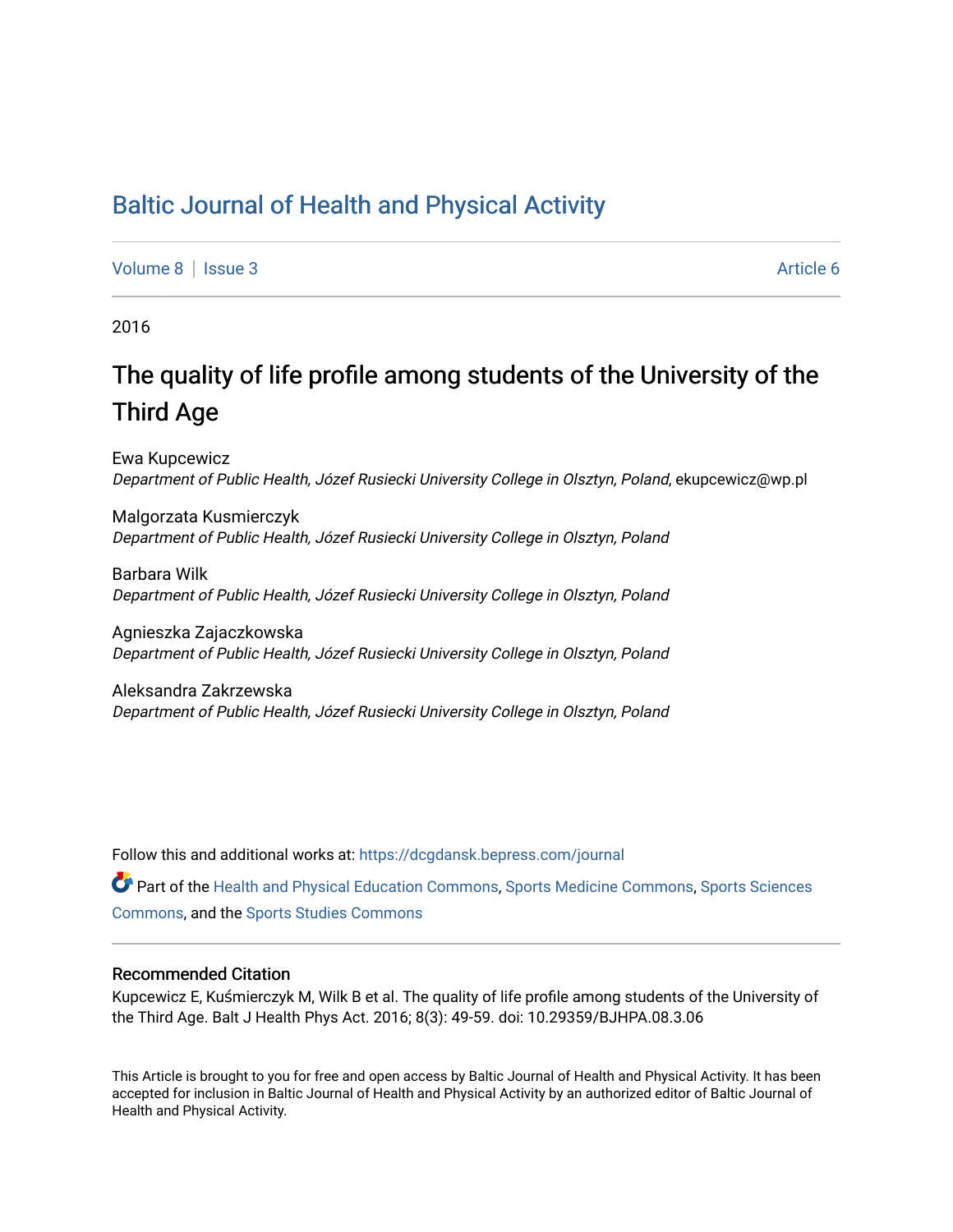### [Baltic Journal of Health and Physical Activity](https://dcgdansk.bepress.com/journal)

[Volume 8](https://dcgdansk.bepress.com/journal/vol8) | [Issue 3](https://dcgdansk.bepress.com/journal/vol8/iss3) Article 6

2016

## The quality of life profile among students of the University of the Third Age

Ewa Kupcewicz Department of Public Health, Józef Rusiecki University College in Olsztyn, Poland, ekupcewicz@wp.pl

Malgorzata Kusmierczyk Department of Public Health, Józef Rusiecki University College in Olsztyn, Poland

Barbara Wilk Department of Public Health, Józef Rusiecki University College in Olsztyn, Poland

Agnieszka Zajaczkowska Department of Public Health, Józef Rusiecki University College in Olsztyn, Poland

Aleksandra Zakrzewska Department of Public Health, Józef Rusiecki University College in Olsztyn, Poland

Follow this and additional works at: [https://dcgdansk.bepress.com/journal](https://dcgdansk.bepress.com/journal?utm_source=dcgdansk.bepress.com%2Fjournal%2Fvol8%2Fiss3%2F6&utm_medium=PDF&utm_campaign=PDFCoverPages)

Part of the [Health and Physical Education Commons](http://network.bepress.com/hgg/discipline/1327?utm_source=dcgdansk.bepress.com%2Fjournal%2Fvol8%2Fiss3%2F6&utm_medium=PDF&utm_campaign=PDFCoverPages), [Sports Medicine Commons,](http://network.bepress.com/hgg/discipline/1331?utm_source=dcgdansk.bepress.com%2Fjournal%2Fvol8%2Fiss3%2F6&utm_medium=PDF&utm_campaign=PDFCoverPages) [Sports Sciences](http://network.bepress.com/hgg/discipline/759?utm_source=dcgdansk.bepress.com%2Fjournal%2Fvol8%2Fiss3%2F6&utm_medium=PDF&utm_campaign=PDFCoverPages) [Commons](http://network.bepress.com/hgg/discipline/759?utm_source=dcgdansk.bepress.com%2Fjournal%2Fvol8%2Fiss3%2F6&utm_medium=PDF&utm_campaign=PDFCoverPages), and the [Sports Studies Commons](http://network.bepress.com/hgg/discipline/1198?utm_source=dcgdansk.bepress.com%2Fjournal%2Fvol8%2Fiss3%2F6&utm_medium=PDF&utm_campaign=PDFCoverPages) 

#### Recommended Citation

Kupcewicz E, Kuśmierczyk M, Wilk B et al. The quality of life profile among students of the University of the Third Age. Balt J Health Phys Act. 2016; 8(3): 49-59. doi: 10.29359/BJHPA.08.3.06

This Article is brought to you for free and open access by Baltic Journal of Health and Physical Activity. It has been accepted for inclusion in Baltic Journal of Health and Physical Activity by an authorized editor of Baltic Journal of Health and Physical Activity.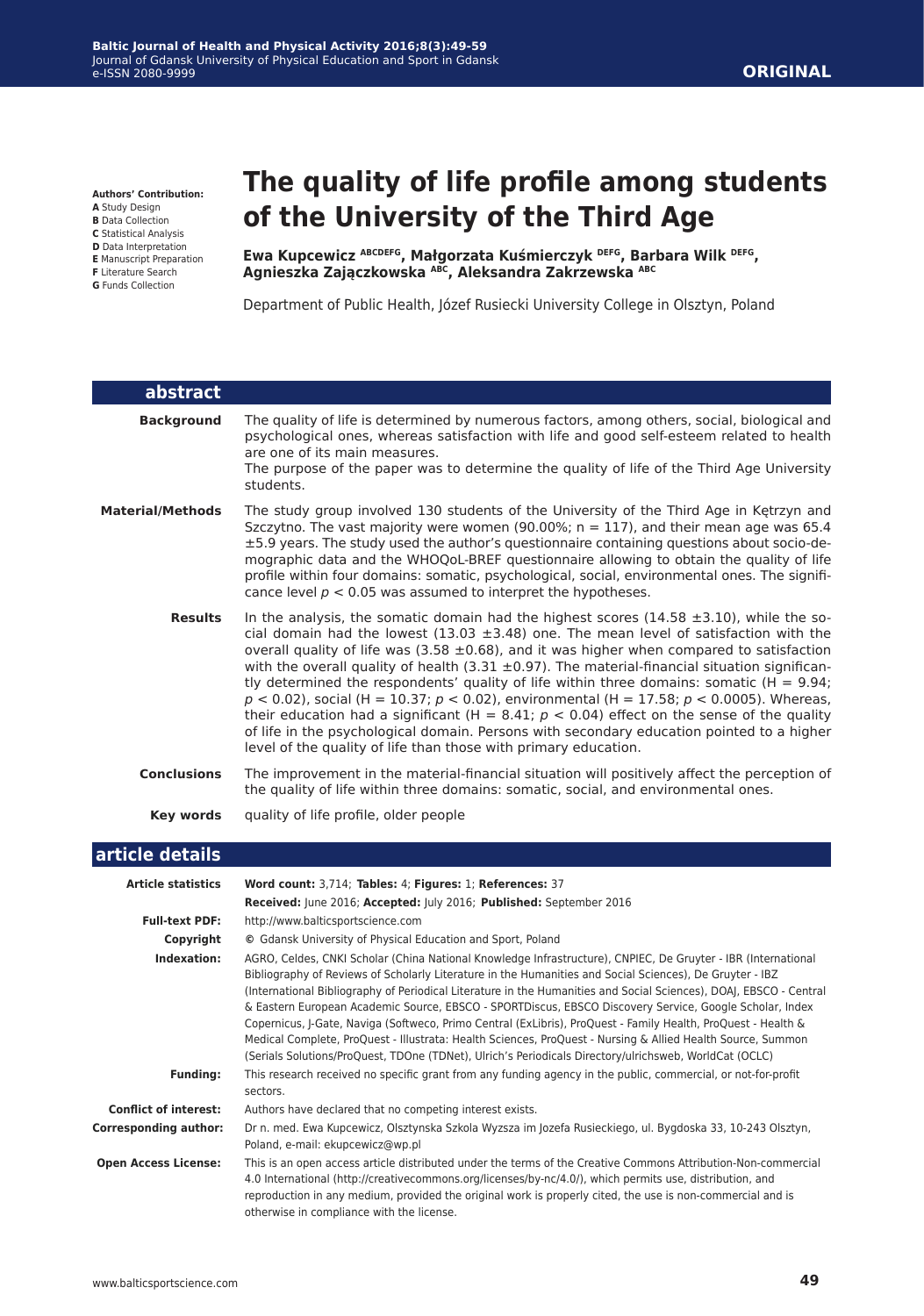**Authors' Contribution:**

**A** Study Design

**B** Data Collection **C** Statistical Analysis

- **D** Data Interpretation
- **E** Manuscript Preparation
- **F** Literature Search
- **G** Funds Collection

I

# **The quality of life profile among students of the University of the Third Age**

**Ewa Kupcewicz ABCDEFG, Małgorzata Kuśmierczyk DEFG, Barbara Wilk DEFG, Agnieszka Zajączkowska ABC, Aleksandra Zakrzewska ABC**

Department of Public Health, Józef Rusiecki University College in Olsztyn, Poland

| abstract                |                                                                                                                                                                                                                                                                                                                                                                                                                                                                                                                                                                                                                                                                                                                                                                                                                                                                          |
|-------------------------|--------------------------------------------------------------------------------------------------------------------------------------------------------------------------------------------------------------------------------------------------------------------------------------------------------------------------------------------------------------------------------------------------------------------------------------------------------------------------------------------------------------------------------------------------------------------------------------------------------------------------------------------------------------------------------------------------------------------------------------------------------------------------------------------------------------------------------------------------------------------------|
| <b>Background</b>       | The quality of life is determined by numerous factors, among others, social, biological and<br>psychological ones, whereas satisfaction with life and good self-esteem related to health<br>are one of its main measures.<br>The purpose of the paper was to determine the quality of life of the Third Age University<br>students.                                                                                                                                                                                                                                                                                                                                                                                                                                                                                                                                      |
| <b>Material/Methods</b> | The study group involved 130 students of the University of the Third Age in Kętrzyn and<br>Szczytno. The vast majority were women (90.00%; $n = 117$ ), and their mean age was 65.4<br>±5.9 years. The study used the author's questionnaire containing questions about socio-de-<br>mographic data and the WHOQoL-BREF questionnaire allowing to obtain the quality of life<br>profile within four domains: somatic, psychological, social, environmental ones. The signifi-<br>cance level $p < 0.05$ was assumed to interpret the hypotheses.                                                                                                                                                                                                                                                                                                                         |
| <b>Results</b>          | In the analysis, the somatic domain had the highest scores (14.58 $\pm$ 3.10), while the so-<br>cial domain had the lowest (13.03 $\pm$ 3.48) one. The mean level of satisfaction with the<br>overall quality of life was (3.58 $\pm$ 0.68), and it was higher when compared to satisfaction<br>with the overall quality of health $(3.31 \pm 0.97)$ . The material-financial situation significan-<br>tly determined the respondents' quality of life within three domains: somatic ( $H = 9.94$ ;<br>$p < 0.02$ ), social (H = 10.37; $p < 0.02$ ), environmental (H = 17.58; $p < 0.0005$ ). Whereas,<br>their education had a significant (H = 8.41; $p < 0.04$ ) effect on the sense of the quality<br>of life in the psychological domain. Persons with secondary education pointed to a higher<br>level of the quality of life than those with primary education. |
| <b>Conclusions</b>      | The improvement in the material-financial situation will positively affect the perception of<br>the quality of life within three domains: somatic, social, and environmental ones.                                                                                                                                                                                                                                                                                                                                                                                                                                                                                                                                                                                                                                                                                       |
| <b>Key words</b>        | quality of life profile, older people                                                                                                                                                                                                                                                                                                                                                                                                                                                                                                                                                                                                                                                                                                                                                                                                                                    |
| article details         |                                                                                                                                                                                                                                                                                                                                                                                                                                                                                                                                                                                                                                                                                                                                                                                                                                                                          |
| Audiele eternistisch    | $M_{\text{total}}$ counts $2.714$ . Tables: 4. Floresco 1. Befaus.                                                                                                                                                                                                                                                                                                                                                                                                                                                                                                                                                                                                                                                                                                                                                                                                       |

| <b>Article statistics</b>    | Word count: 3,714; Tables: 4; Figures: 1; References: 37                                                                                                                                                                                                                                                                                                                                                                                                                                                                                                                                                                                                                                                                                                                                             |
|------------------------------|------------------------------------------------------------------------------------------------------------------------------------------------------------------------------------------------------------------------------------------------------------------------------------------------------------------------------------------------------------------------------------------------------------------------------------------------------------------------------------------------------------------------------------------------------------------------------------------------------------------------------------------------------------------------------------------------------------------------------------------------------------------------------------------------------|
|                              | Received: June 2016; Accepted: July 2016; Published: September 2016                                                                                                                                                                                                                                                                                                                                                                                                                                                                                                                                                                                                                                                                                                                                  |
| <b>Full-text PDF:</b>        | http://www.balticsportscience.com                                                                                                                                                                                                                                                                                                                                                                                                                                                                                                                                                                                                                                                                                                                                                                    |
| Copyright                    | © Gdansk University of Physical Education and Sport, Poland                                                                                                                                                                                                                                                                                                                                                                                                                                                                                                                                                                                                                                                                                                                                          |
| Indexation:                  | AGRO, Celdes, CNKI Scholar (China National Knowledge Infrastructure), CNPIEC, De Gruyter - IBR (International<br>Bibliography of Reviews of Scholarly Literature in the Humanities and Social Sciences), De Gruyter - IBZ<br>(International Bibliography of Periodical Literature in the Humanities and Social Sciences), DOAJ, EBSCO - Central<br>& Eastern European Academic Source, EBSCO - SPORTDiscus, EBSCO Discovery Service, Google Scholar, Index<br>Copernicus, J-Gate, Naviga (Softweco, Primo Central (ExLibris), ProQuest - Family Health, ProQuest - Health &<br>Medical Complete, ProQuest - Illustrata: Health Sciences, ProQuest - Nursing & Allied Health Source, Summon<br>(Serials Solutions/ProQuest, TDOne (TDNet), Ulrich's Periodicals Directory/ulrichsweb, WorldCat (OCLC) |
| <b>Funding:</b>              | This research received no specific grant from any funding agency in the public, commercial, or not-for-profit<br>sectors.                                                                                                                                                                                                                                                                                                                                                                                                                                                                                                                                                                                                                                                                            |
| <b>Conflict of interest:</b> | Authors have declared that no competing interest exists.                                                                                                                                                                                                                                                                                                                                                                                                                                                                                                                                                                                                                                                                                                                                             |
| <b>Corresponding author:</b> | Dr n. med. Ewa Kupcewicz, Olsztynska Szkola Wyzsza im Jozefa Rusieckiego, ul. Bygdoska 33, 10-243 Olsztyn,<br>Poland, e-mail: ekupcewicz@wp.pl                                                                                                                                                                                                                                                                                                                                                                                                                                                                                                                                                                                                                                                       |
| <b>Open Access License:</b>  | This is an open access article distributed under the terms of the Creative Commons Attribution-Non-commercial<br>4.0 International (http://creativecommons.org/licenses/by-nc/4.0/), which permits use, distribution, and<br>reproduction in any medium, provided the original work is properly cited, the use is non-commercial and is<br>otherwise in compliance with the license.                                                                                                                                                                                                                                                                                                                                                                                                                 |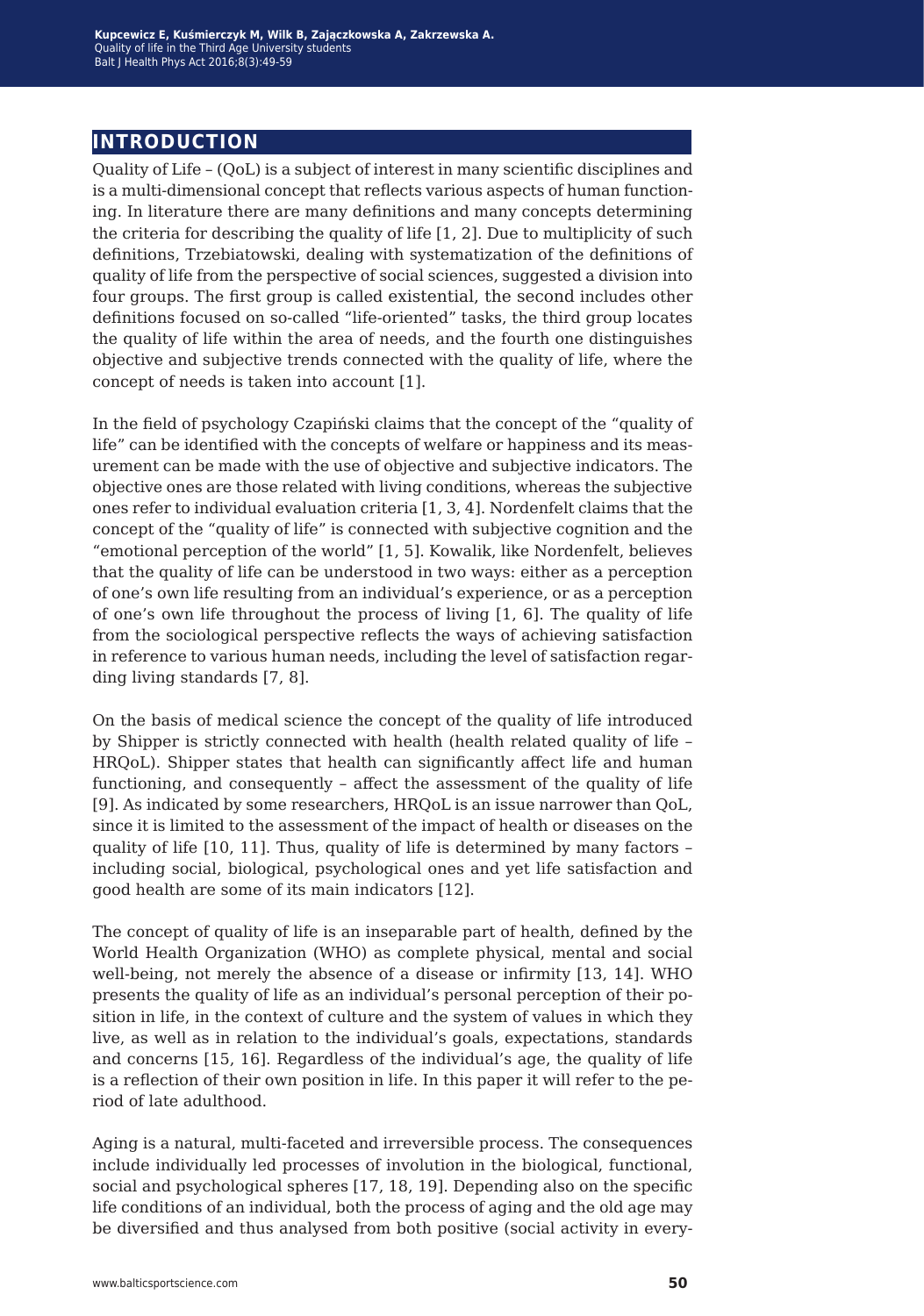### **introduction**

Quality of Life – (QoL) is a subject of interest in many scientific disciplines and is a multi-dimensional concept that reflects various aspects of human functioning. In literature there are many definitions and many concepts determining the criteria for describing the quality of life [1, 2]. Due to multiplicity of such definitions, Trzebiatowski, dealing with systematization of the definitions of quality of life from the perspective of social sciences, suggested a division into four groups. The first group is called existential, the second includes other definitions focused on so-called "life-oriented" tasks, the third group locates the quality of life within the area of needs, and the fourth one distinguishes objective and subjective trends connected with the quality of life, where the concept of needs is taken into account [1].

In the field of psychology Czapiński claims that the concept of the "quality of life" can be identified with the concepts of welfare or happiness and its measurement can be made with the use of objective and subjective indicators. The objective ones are those related with living conditions, whereas the subjective ones refer to individual evaluation criteria [1, 3, 4]. Nordenfelt claims that the concept of the "quality of life" is connected with subjective cognition and the "emotional perception of the world" [1, 5]. Kowalik, like Nordenfelt, believes that the quality of life can be understood in two ways: either as a perception of one's own life resulting from an individual's experience, or as a perception of one's own life throughout the process of living [1, 6]. The quality of life from the sociological perspective reflects the ways of achieving satisfaction in reference to various human needs, including the level of satisfaction regarding living standards [7, 8].

On the basis of medical science the concept of the quality of life introduced by Shipper is strictly connected with health (health related quality of life – HRQoL). Shipper states that health can significantly affect life and human functioning, and consequently – affect the assessment of the quality of life [9]. As indicated by some researchers, HRQoL is an issue narrower than QoL, since it is limited to the assessment of the impact of health or diseases on the quality of life [10, 11]. Thus, quality of life is determined by many factors – including social, biological, psychological ones and yet life satisfaction and good health are some of its main indicators [12].

The concept of quality of life is an inseparable part of health, defined by the World Health Organization (WHO) as complete physical, mental and social well-being, not merely the absence of a disease or infirmity [13, 14]. WHO presents the quality of life as an individual's personal perception of their position in life, in the context of culture and the system of values in which they live, as well as in relation to the individual's goals, expectations, standards and concerns [15, 16]. Regardless of the individual's age, the quality of life is a reflection of their own position in life. In this paper it will refer to the period of late adulthood.

Aging is a natural, multi-faceted and irreversible process. The consequences include individually led processes of involution in the biological, functional, social and psychological spheres [17, 18, 19]. Depending also on the specific life conditions of an individual, both the process of aging and the old age may be diversified and thus analysed from both positive (social activity in every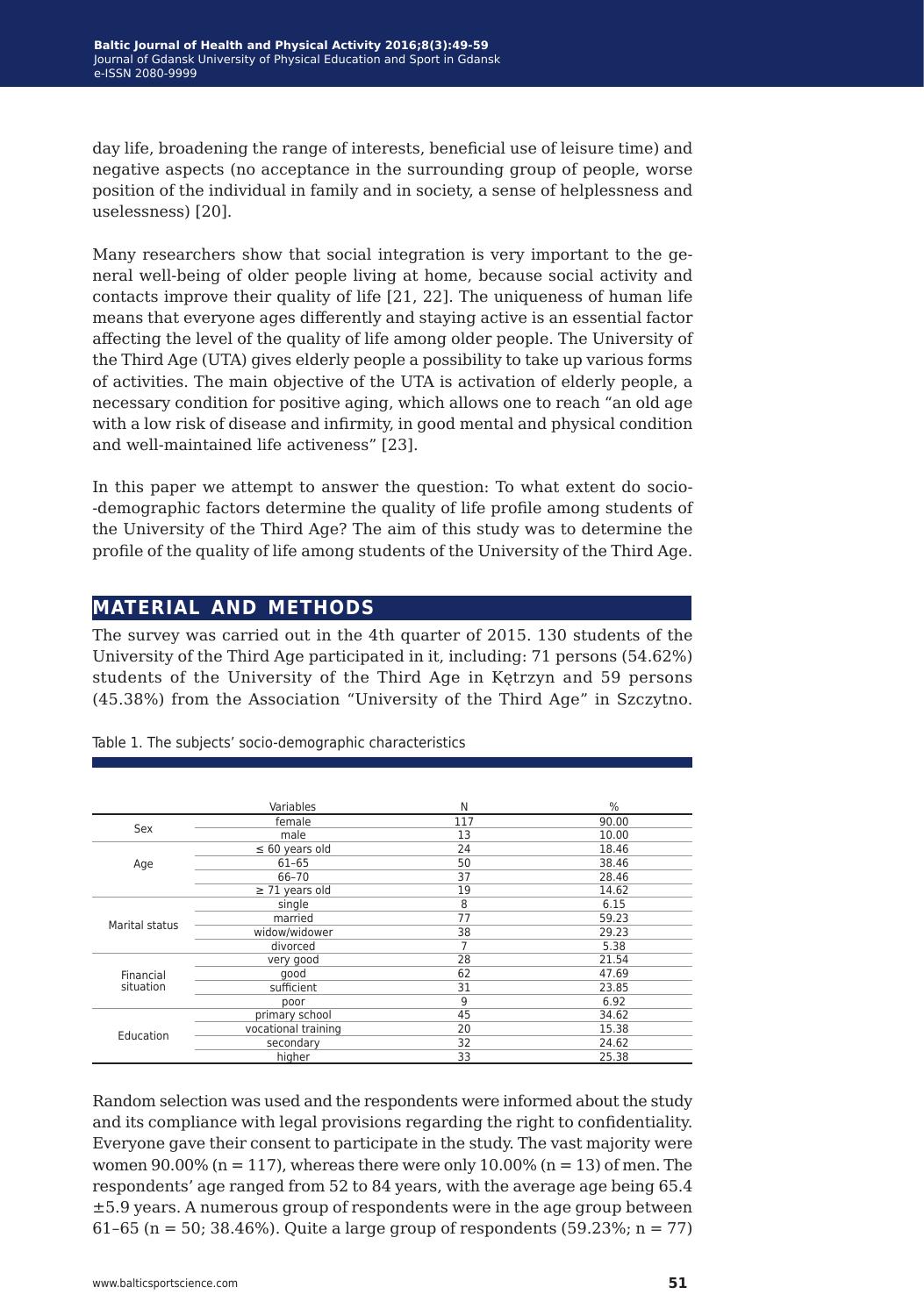day life, broadening the range of interests, beneficial use of leisure time) and negative aspects (no acceptance in the surrounding group of people, worse position of the individual in family and in society, a sense of helplessness and uselessness) [20].

Many researchers show that social integration is very important to the general well-being of older people living at home, because social activity and contacts improve their quality of life [21, 22]. The uniqueness of human life means that everyone ages differently and staying active is an essential factor affecting the level of the quality of life among older people. The University of the Third Age (UTA) gives elderly people a possibility to take up various forms of activities. The main objective of the UTA is activation of elderly people, a necessary condition for positive aging, which allows one to reach "an old age with a low risk of disease and infirmity, in good mental and physical condition and well-maintained life activeness" [23].

In this paper we attempt to answer the question: To what extent do socio- -demographic factors determine the quality of life profile among students of the University of the Third Age? The aim of this study was to determine the profile of the quality of life among students of the University of the Third Age.

#### **material and methods**

The survey was carried out in the 4th quarter of 2015. 130 students of the University of the Third Age participated in it, including: 71 persons (54.62%) students of the University of the Third Age in Kętrzyn and 59 persons (45.38%) from the Association "University of the Third Age" in Szczytno.

|                | Variables           | N   | $\%$  |
|----------------|---------------------|-----|-------|
| Sex            | female              | 117 | 90.00 |
|                | male                | 13  | 10.00 |
|                | $\leq 60$ years old | 24  | 18.46 |
| Age            | $61 - 65$           | 50  | 38.46 |
|                | 66-70               | 37  | 28.46 |
|                | $\geq$ 71 years old | 19  | 14.62 |
|                | single              | 8   | 6.15  |
| Marital status | married             | 77  | 59.23 |
|                | widow/widower       | 38  | 29.23 |
|                | divorced            | 7   | 5.38  |
|                | very good           | 28  | 21.54 |
| Financial      | good                | 62  | 47.69 |
| situation      | sufficient          | 31  | 23.85 |
|                | poor                | 9   | 6.92  |
|                | primary school      | 45  | 34.62 |
| Education      | vocational training | 20  | 15.38 |
|                | secondary           | 32  | 24.62 |
|                | higher              | 33  | 25.38 |

Table 1. The subjects' socio-demographic characteristics

Random selection was used and the respondents were informed about the study and its compliance with legal provisions regarding the right to confidentiality. Everyone gave their consent to participate in the study. The vast majority were women  $90.00\%$  (n = 117), whereas there were only 10.00% (n = 13) of men. The respondents' age ranged from 52 to 84 years, with the average age being 65.4 ±5.9 years. A numerous group of respondents were in the age group between 61-65 (n = 50; 38.46%). Quite a large group of respondents (59.23%; n = 77)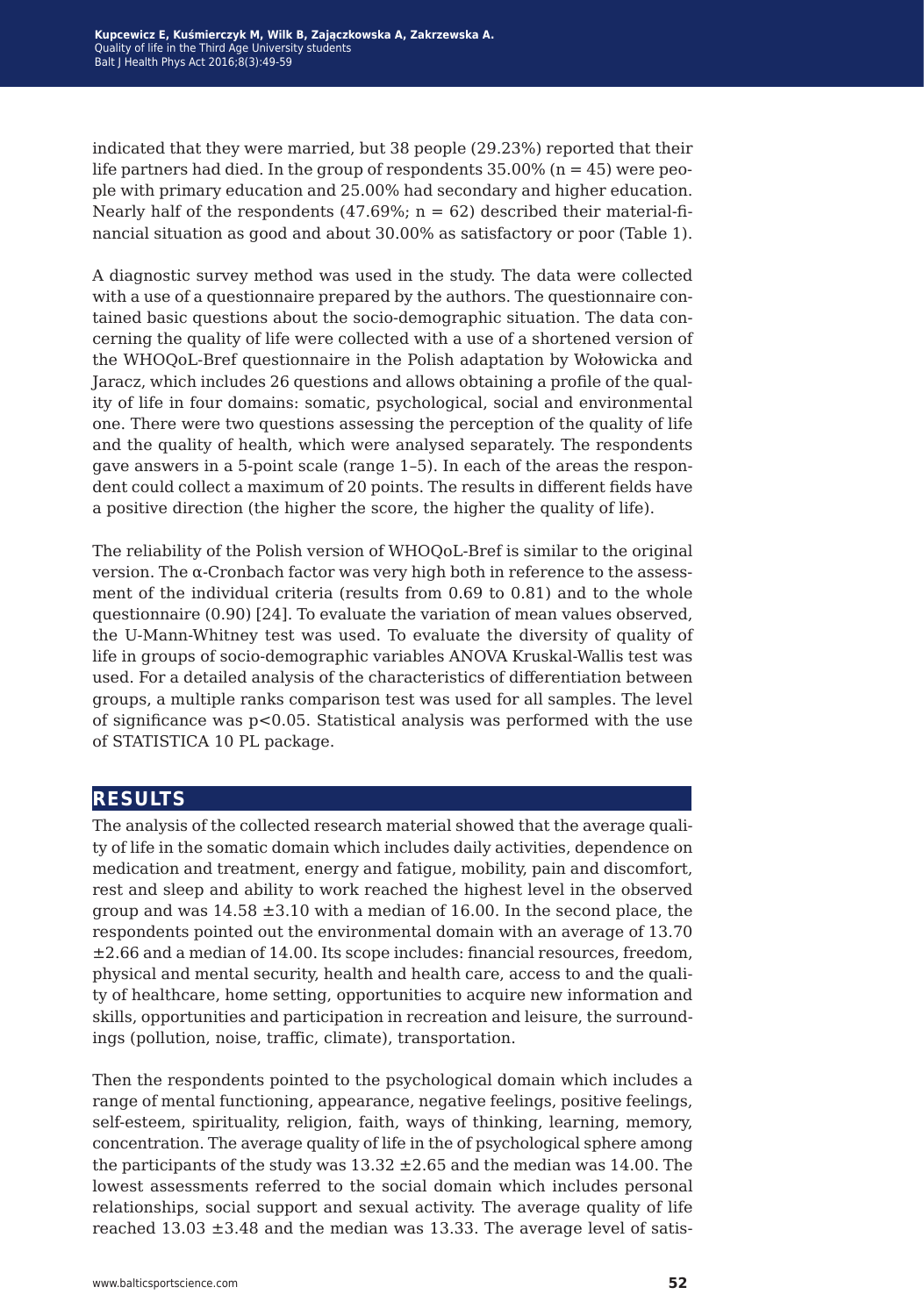indicated that they were married, but 38 people (29.23%) reported that their life partners had died. In the group of respondents  $35.00\%$  (n = 45) were people with primary education and 25.00% had secondary and higher education. Nearly half of the respondents (47.69%;  $n = 62$ ) described their material-financial situation as good and about 30.00% as satisfactory or poor (Table 1).

A diagnostic survey method was used in the study. The data were collected with a use of a questionnaire prepared by the authors. The questionnaire contained basic questions about the socio-demographic situation. The data concerning the quality of life were collected with a use of a shortened version of the WHOQoL-Bref questionnaire in the Polish adaptation by Wołowicka and Jaracz, which includes 26 questions and allows obtaining a profile of the quality of life in four domains: somatic, psychological, social and environmental one. There were two questions assessing the perception of the quality of life and the quality of health, which were analysed separately. The respondents gave answers in a 5-point scale (range 1–5). In each of the areas the respondent could collect a maximum of 20 points. The results in different fields have a positive direction (the higher the score, the higher the quality of life).

The reliability of the Polish version of WHOQoL-Bref is similar to the original version. The α-Cronbach factor was very high both in reference to the assessment of the individual criteria (results from 0.69 to 0.81) and to the whole questionnaire (0.90) [24]. To evaluate the variation of mean values observed, the U-Mann-Whitney test was used. To evaluate the diversity of quality of life in groups of socio-demographic variables ANOVA Kruskal-Wallis test was used. For a detailed analysis of the characteristics of differentiation between groups, a multiple ranks comparison test was used for all samples. The level of significance was p<0.05. Statistical analysis was performed with the use of STATISTICA 10 PL package.

#### **results**

The analysis of the collected research material showed that the average quality of life in the somatic domain which includes daily activities, dependence on medication and treatment, energy and fatigue, mobility, pain and discomfort, rest and sleep and ability to work reached the highest level in the observed group and was  $14.58 \pm 3.10$  with a median of 16.00. In the second place, the respondents pointed out the environmental domain with an average of 13.70 ±2.66 and a median of 14.00. Its scope includes: financial resources, freedom, physical and mental security, health and health care, access to and the quality of healthcare, home setting, opportunities to acquire new information and skills, opportunities and participation in recreation and leisure, the surroundings (pollution, noise, traffic, climate), transportation.

Then the respondents pointed to the psychological domain which includes a range of mental functioning, appearance, negative feelings, positive feelings, self-esteem, spirituality, religion, faith, ways of thinking, learning, memory, concentration. The average quality of life in the of psychological sphere among the participants of the study was  $13.32 \pm 2.65$  and the median was 14.00. The lowest assessments referred to the social domain which includes personal relationships, social support and sexual activity. The average quality of life reached  $13.03 \pm 3.48$  and the median was 13.33. The average level of satis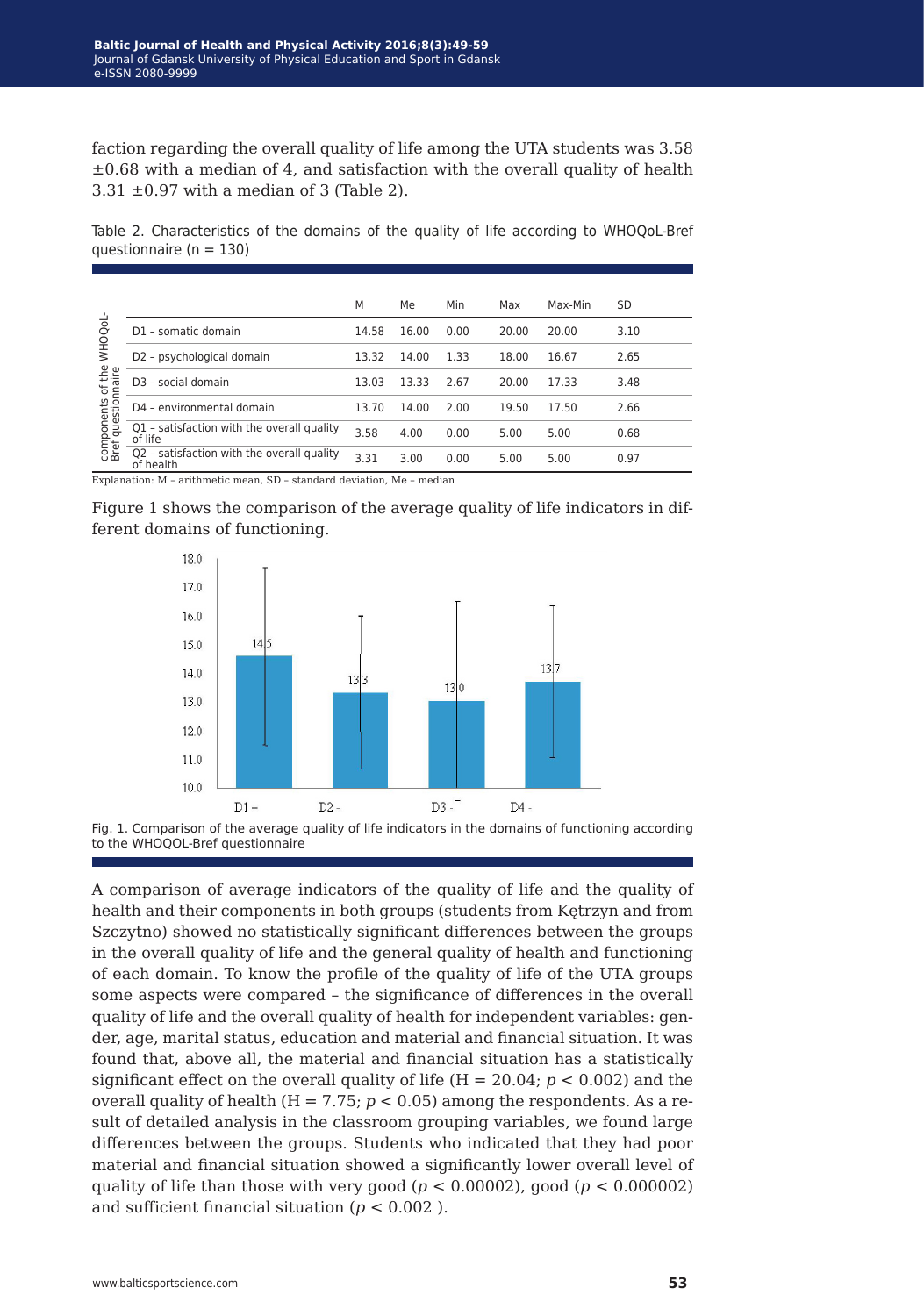faction regarding the overall quality of life among the UTA students was 3.58  $\pm 0.68$  with a median of 4, and satisfaction with the overall quality of health  $3.31 \pm 0.97$  with a median of 3 (Table 2).

Table 2. Characteristics of the domains of the quality of life according to WHOQoL-Bref questionnaire (n = 130)

| <b>WHOQOL</b><br>components of the<br>Bref questionnaire |                                                         | M     | Me    | Min  | Max   | Max-Min | SD   |
|----------------------------------------------------------|---------------------------------------------------------|-------|-------|------|-------|---------|------|
|                                                          | D1 - somatic domain                                     | 14.58 | 16.00 | 0.00 | 20.00 | 20.00   | 3.10 |
|                                                          | D2 - psychological domain                               | 13.32 | 14.00 | 1.33 | 18.00 | 16.67   | 2.65 |
|                                                          | D <sub>3</sub> - social domain                          | 13.03 | 13.33 | 2.67 | 20.00 | 17.33   | 3.48 |
|                                                          | D4 - environmental domain                               | 13.70 | 14.00 | 2.00 | 19.50 | 17.50   | 2.66 |
|                                                          | Q1 - satisfaction with the overall quality<br>of life   | 3.58  | 4.00  | 0.00 | 5.00  | 5.00    | 0.68 |
|                                                          | Q2 - satisfaction with the overall quality<br>of health | 3.31  | 3.00  | 0.00 | 5.00  | 5.00    | 0.97 |

Explanation: M – arithmetic mean, SD – standard deviation, Me – median







A comparison of average indicators of the quality of life and the quality of health and their components in both groups (students from Kętrzyn and from Szczytno) showed no statistically significant differences between the groups in the overall quality of life and the general quality of health and functioning of each domain. To know the profile of the quality of life of the UTA groups some aspects were compared – the significance of differences in the overall quality of life and the overall quality of health for independent variables: gender, age, marital status, education and material and financial situation. It was found that, above all, the material and financial situation has a statistically significant effect on the overall quality of life  $(H = 20.04; p < 0.002)$  and the overall quality of health ( $H = 7.75$ ;  $p < 0.05$ ) among the respondents. As a result of detailed analysis in the classroom grouping variables, we found large differences between the groups. Students who indicated that they had poor material and financial situation showed a significantly lower overall level of quality of life than those with very good ( $p < 0.00002$ ), good ( $p < 0.000002$ ) and sufficient financial situation (*p* < 0.002 ).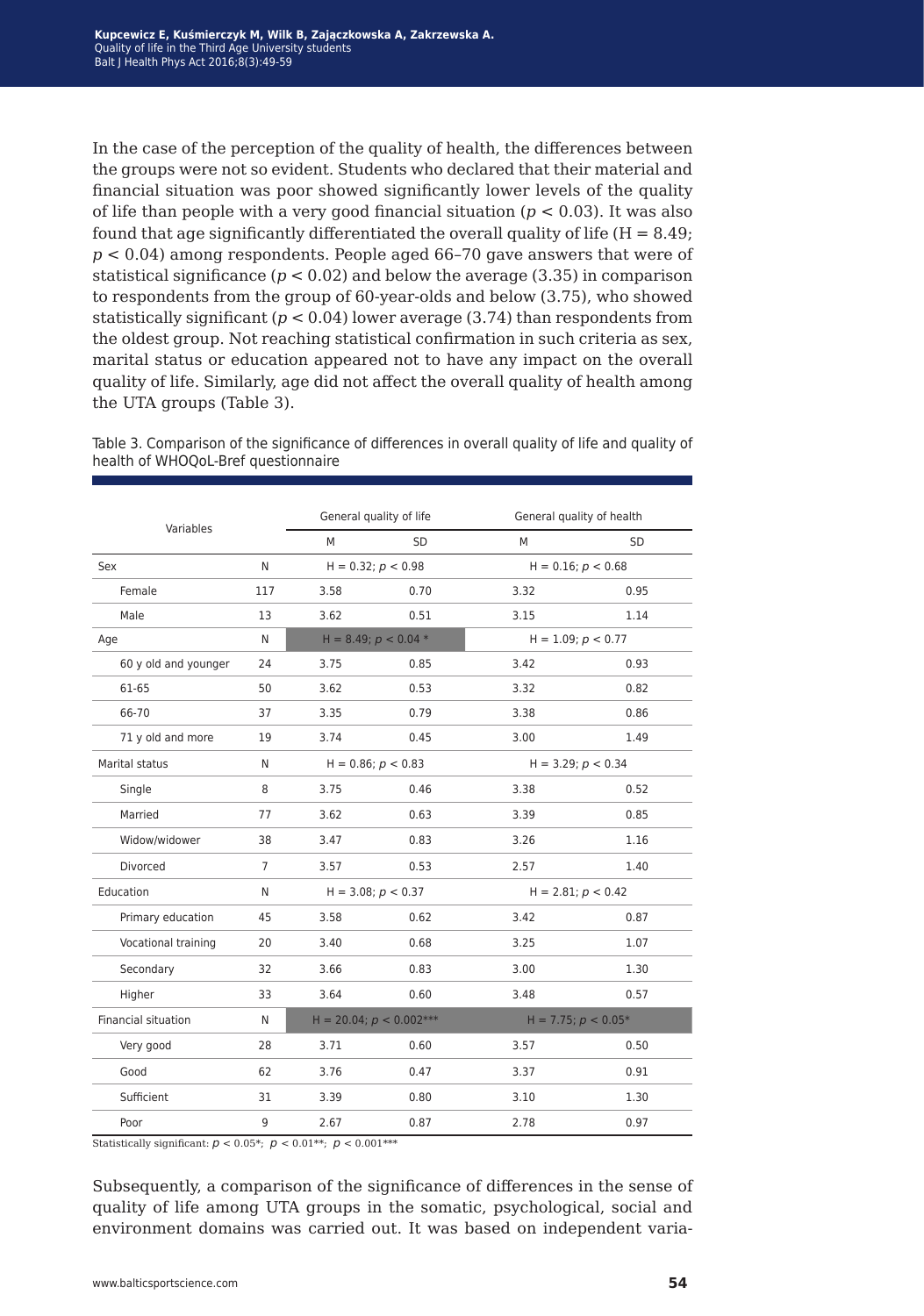In the case of the perception of the quality of health, the differences between the groups were not so evident. Students who declared that their material and financial situation was poor showed significantly lower levels of the quality of life than people with a very good financial situation  $(p < 0.03)$ . It was also found that age significantly differentiated the overall quality of life  $(H = 8.49)$ ; *p* < 0.04) among respondents. People aged 66–70 gave answers that were of statistical significance ( $p < 0.02$ ) and below the average (3.35) in comparison to respondents from the group of 60-year-olds and below (3.75), who showed statistically significant  $(p < 0.04)$  lower average  $(3.74)$  than respondents from the oldest group. Not reaching statistical confirmation in such criteria as sex, marital status or education appeared not to have any impact on the overall quality of life. Similarly, age did not affect the overall quality of health among the UTA groups (Table 3).

| Table 3. Comparison of the significance of differences in overall quality of life and quality of |  |
|--------------------------------------------------------------------------------------------------|--|
| health of WHOQoL-Bref questionnaire                                                              |  |

| Variables            |                | General quality of life   | General quality of health |                         |           |  |
|----------------------|----------------|---------------------------|---------------------------|-------------------------|-----------|--|
|                      |                | M                         | <b>SD</b>                 | M                       | <b>SD</b> |  |
| Sex                  | N              | $H = 0.32; p < 0.98$      |                           | $H = 0.16$ ; $p < 0.68$ |           |  |
| Female               | 117            | 3.58                      | 0.70                      | 3.32                    | 0.95      |  |
| Male                 | 13             | 3.62                      | 0.51                      | 3.15                    | 1.14      |  |
| Age                  | N              |                           | H = 8.49; $p < 0.04$ *    | $H = 1.09; p < 0.77$    |           |  |
| 60 y old and younger | 24             | 3.75                      | 0.85                      | 3.42                    | 0.93      |  |
| 61-65                | 50             | 3.62                      | 0.53                      | 3.32                    | 0.82      |  |
| 66-70                | 37             | 3.35                      | 0.79                      | 3.38                    | 0.86      |  |
| 71 y old and more    | 19             | 3.74                      | 0.45                      | 3.00                    | 1.49      |  |
| Marital status       | N              |                           | $H = 0.86; p < 0.83$      | $H = 3.29; p < 0.34$    |           |  |
| Single               | 8              | 3.75                      | 0.46                      | 3.38                    | 0.52      |  |
| Married              | 77             | 3.62                      | 0.63                      | 3.39                    | 0.85      |  |
| Widow/widower        | 38             | 3.47                      | 0.83                      | 3.26                    | 1.16      |  |
| Divorced             | $\overline{7}$ | 3.57                      | 0.53                      | 2.57                    | 1.40      |  |
| Education            | N              |                           | $H = 3.08; p < 0.37$      | $H = 2.81; p < 0.42$    |           |  |
| Primary education    | 45             | 3.58                      | 0.62                      | 3.42                    | 0.87      |  |
| Vocational training  | 20             | 3.40                      | 0.68                      | 3.25                    | 1.07      |  |
| Secondary            | 32             | 3.66                      | 0.83                      | 3.00                    | 1.30      |  |
| Higher               | 33             | 3.64                      | 0.60                      | 3.48                    | 0.57      |  |
| Financial situation  | N              | $H = 20.04; p < 0.002***$ |                           | H = 7.75; $p < 0.05*$   |           |  |
| Very good            | 28             | 3.71                      | 0.60                      | 3.57                    | 0.50      |  |
| Good                 | 62             | 3.76                      | 0.47                      | 3.37                    | 0.91      |  |
| Sufficient           | 31             | 3.39                      | 0.80                      | 3.10                    | 1.30      |  |
| Poor                 | 9              | 2.67                      | 0.87                      | 2.78                    | 0.97      |  |

Statistically significant:  $p < 0.05^*$ ;  $p < 0.01^{**}$ ;  $p < 0.001^{***}$ 

Subsequently, a comparison of the significance of differences in the sense of quality of life among UTA groups in the somatic, psychological, social and environment domains was carried out. It was based on independent varia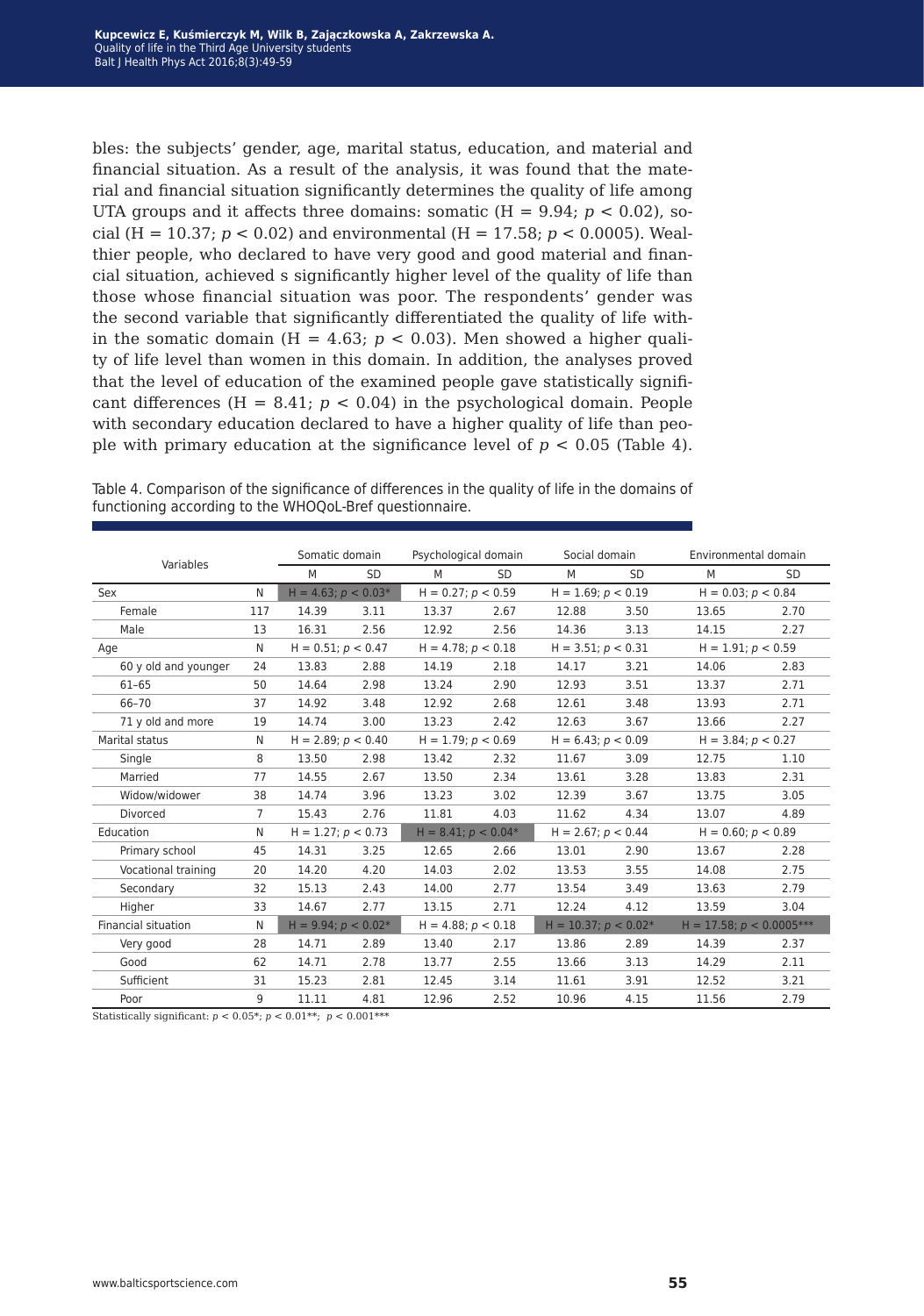bles: the subjects' gender, age, marital status, education, and material and financial situation. As a result of the analysis, it was found that the material and financial situation significantly determines the quality of life among UTA groups and it affects three domains: somatic  $(H = 9.94; p < 0.02)$ , social (H =  $10.37$ ;  $p < 0.02$ ) and environmental (H =  $17.58$ ;  $p < 0.0005$ ). Wealthier people, who declared to have very good and good material and financial situation, achieved s significantly higher level of the quality of life than those whose financial situation was poor. The respondents' gender was the second variable that significantly differentiated the quality of life within the somatic domain ( $H = 4.63$ ;  $p < 0.03$ ). Men showed a higher quality of life level than women in this domain. In addition, the analyses proved that the level of education of the examined people gave statistically significant differences  $(H = 8.41; p < 0.04)$  in the psychological domain. People with secondary education declared to have a higher quality of life than people with primary education at the significance level of  $p < 0.05$  (Table 4).

| Variables                |                | Somatic domain           |           | Psychological domain    |                      | Social domain           |                      | Environmental domain          |           |
|--------------------------|----------------|--------------------------|-----------|-------------------------|----------------------|-------------------------|----------------------|-------------------------------|-----------|
|                          |                | M                        | <b>SD</b> | M                       | <b>SD</b>            | M                       | <b>SD</b>            | M                             | <b>SD</b> |
| Sex                      |                | $H = 4.63$ ; $p < 0.03*$ |           | $H = 0.27$ ; $p < 0.59$ |                      | $H = 1.69; p < 0.19$    |                      | $H = 0.03; p < 0.84$          |           |
| Female                   | 117            | 14.39                    | 3.11      | 13.37                   | 2.67                 | 12.88                   | 3.50                 | 13.65                         | 2.70      |
| Male                     | 13             | 16.31                    | 2.56      | 12.92                   | 2.56                 | 14.36                   | 3.13                 | 14.15                         | 2.27      |
| Age                      | N              | $H = 0.51; p < 0.47$     |           | $H = 4.78; p < 0.18$    |                      | $H = 3.51; p < 0.31$    |                      | $H = 1.91; p < 0.59$          |           |
| 60 y old and younger     | 24             | 13.83                    | 2.88      | 14.19                   | 2.18                 | 14.17                   | 3.21                 | 14.06                         | 2.83      |
| $61 - 65$                | 50             | 14.64                    | 2.98      | 13.24                   | 2.90                 | 12.93                   | 3.51                 | 13.37                         | 2.71      |
| 66-70                    | 37             | 14.92                    | 3.48      | 12.92                   | 2.68                 | 12.61                   | 3.48                 | 13.93                         | 2.71      |
| 71 y old and more        | 19             | 14.74                    | 3.00      | 13.23                   | 2.42                 | 12.63                   | 3.67                 | 13.66                         | 2.27      |
| Marital status           | N              | $H = 2.89; p < 0.40$     |           |                         | $H = 1.79; p < 0.69$ |                         | $H = 6.43; p < 0.09$ | $H = 3.84; p < 0.27$          |           |
| Single                   | 8              | 13.50                    | 2.98      | 13.42                   | 2.32                 | 11.67                   | 3.09                 | 12.75                         | 1.10      |
| Married                  | 77             | 14.55                    | 2.67      | 13.50                   | 2.34                 | 13.61                   | 3.28                 | 13.83                         | 2.31      |
| Widow/widower            | 38             | 14.74                    | 3.96      | 13.23                   | 3.02                 | 12.39                   | 3.67                 | 13.75                         | 3.05      |
| Divorced                 | $\overline{7}$ | 15.43                    | 2.76      | 11.81                   | 4.03                 | 11.62                   | 4.34                 | 13.07                         | 4.89      |
| Education                | N              | $H = 1.27; p < 0.73$     |           | $H = 8.41; p < 0.04*$   |                      | $H = 2.67$ ; $p < 0.44$ |                      | $H = 0.60; p < 0.89$          |           |
| Primary school           | 45             | 14.31                    | 3.25      | 12.65                   | 2.66                 | 13.01                   | 2.90                 | 13.67                         | 2.28      |
| Vocational training      | 20             | 14.20                    | 4.20      | 14.03                   | 2.02                 | 13.53                   | 3.55                 | 14.08                         | 2.75      |
| Secondary                | 32             | 15.13                    | 2.43      | 14.00                   | 2.77                 | 13.54                   | 3.49                 | 13.63                         | 2.79      |
| Higher                   | 33             | 14.67                    | 2.77      | 13.15                   | 2.71                 | 12.24                   | 4.12                 | 13.59                         | 3.04      |
| Financial situation<br>N |                | $H = 9.94; p < 0.02*$    |           | $H = 4.88; p < 0.18$    |                      | $H = 10.37; p < 0.02*$  |                      | $H = 17.58$ ; $p < 0.0005***$ |           |
| Very good                | 28             | 14.71                    | 2.89      | 13.40                   | 2.17                 | 13.86                   | 2.89                 | 14.39                         | 2.37      |
| Good                     | 62             | 14.71                    | 2.78      | 13.77                   | 2.55                 | 13.66                   | 3.13                 | 14.29                         | 2.11      |
| Sufficient               | 31             | 15.23                    | 2.81      | 12.45                   | 3.14                 | 11.61                   | 3.91                 | 12.52                         | 3.21      |
| Poor                     | 9              | 11.11                    | 4.81      | 12.96                   | 2.52                 | 10.96                   | 4.15                 | 11.56                         | 2.79      |

Table 4. Comparison of the significance of differences in the quality of life in the domains of functioning according to the WHOQoL-Bref questionnaire.

Statistically significant:  $p < 0.05^{\ast};\, p < 0.01^{\ast\ast};\, \, p < 0.001^{\ast\ast\ast}$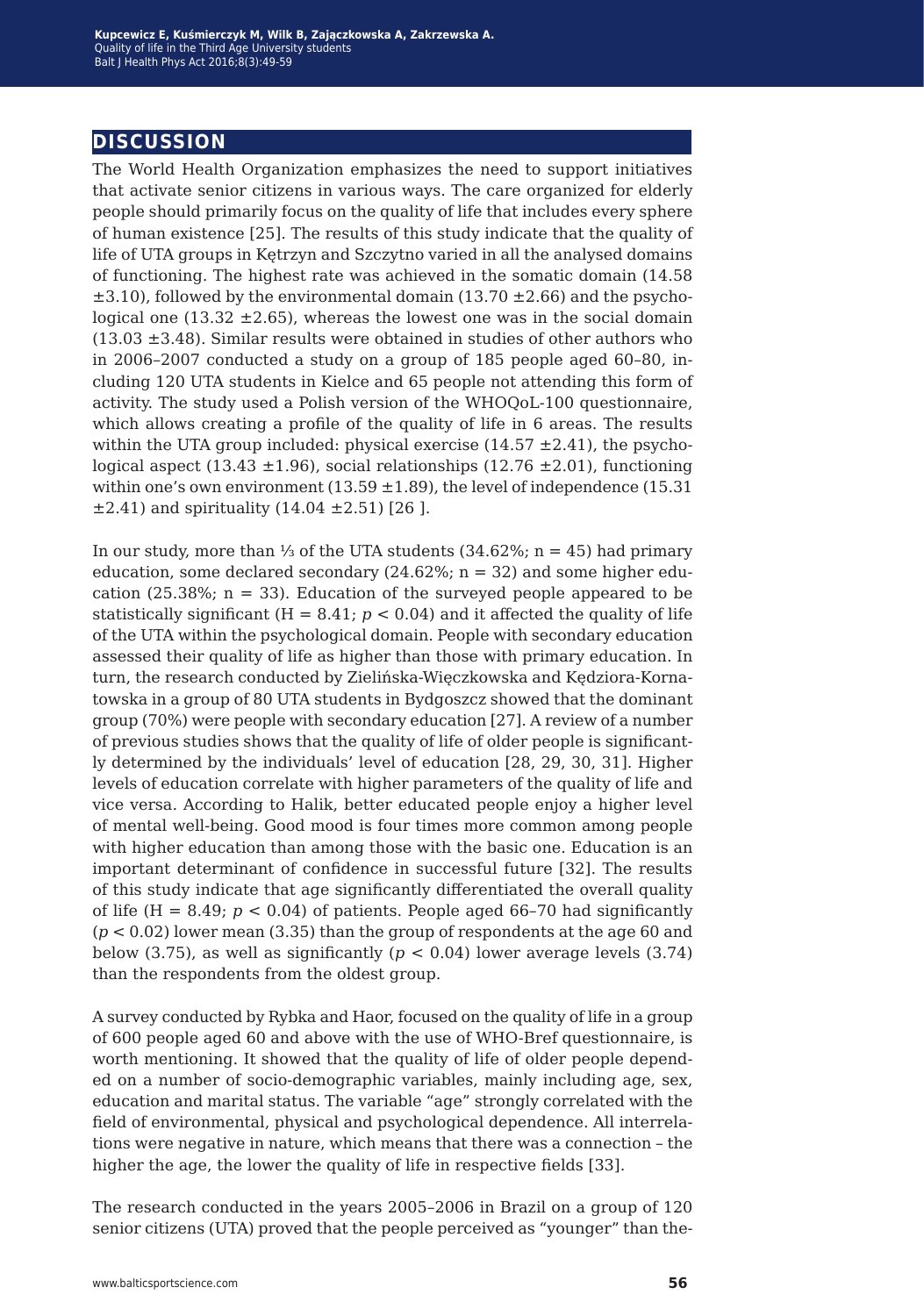#### **discussion**

The World Health Organization emphasizes the need to support initiatives that activate senior citizens in various ways. The care organized for elderly people should primarily focus on the quality of life that includes every sphere of human existence [25]. The results of this study indicate that the quality of life of UTA groups in Kętrzyn and Szczytno varied in all the analysed domains of functioning. The highest rate was achieved in the somatic domain (14.58  $\pm$ 3.10), followed by the environmental domain (13.70  $\pm$ 2.66) and the psychological one  $(13.32 \pm 2.65)$ , whereas the lowest one was in the social domain  $(13.03 \pm 3.48)$ . Similar results were obtained in studies of other authors who in 2006–2007 conducted a study on a group of 185 people aged 60–80, including 120 UTA students in Kielce and 65 people not attending this form of activity. The study used a Polish version of the WHOQoL-100 questionnaire, which allows creating a profile of the quality of life in 6 areas. The results within the UTA group included: physical exercise  $(14.57 \pm 2.41)$ , the psychological aspect (13.43  $\pm$ 1.96), social relationships (12.76  $\pm$ 2.01), functioning within one's own environment (13.59  $\pm$ 1.89), the level of independence (15.31  $\pm 2.41$ ) and spirituality (14.04  $\pm 2.51$ ) [26].

In our study, more than 1⁄3 of the UTA students  $(34.62\%; n = 45)$  had primary education, some declared secondary (24.62%;  $n = 32$ ) and some higher education (25.38%;  $n = 33$ ). Education of the surveyed people appeared to be statistically significant  $(H = 8.41; p < 0.04)$  and it affected the quality of life of the UTA within the psychological domain. People with secondary education assessed their quality of life as higher than those with primary education. In turn, the research conducted by Zielińska-Więczkowska and Kędziora-Kornatowska in a group of 80 UTA students in Bydgoszcz showed that the dominant group (70%) were people with secondary education [27]. A review of a number of previous studies shows that the quality of life of older people is significantly determined by the individuals' level of education [28, 29, 30, 31]. Higher levels of education correlate with higher parameters of the quality of life and vice versa. According to Halik, better educated people enjoy a higher level of mental well-being. Good mood is four times more common among people with higher education than among those with the basic one. Education is an important determinant of confidence in successful future [32]. The results of this study indicate that age significantly differentiated the overall quality of life  $(H = 8.49; p < 0.04)$  of patients. People aged 66–70 had significantly  $(p < 0.02)$  lower mean  $(3.35)$  than the group of respondents at the age 60 and below (3.75), as well as significantly  $(p < 0.04)$  lower average levels (3.74) than the respondents from the oldest group.

A survey conducted by Rybka and Haor, focused on the quality of life in a group of 600 people aged 60 and above with the use of WHO-Bref questionnaire, is worth mentioning. It showed that the quality of life of older people depended on a number of socio-demographic variables, mainly including age, sex, education and marital status. The variable "age" strongly correlated with the field of environmental, physical and psychological dependence. All interrelations were negative in nature, which means that there was a connection – the higher the age, the lower the quality of life in respective fields [33].

The research conducted in the years 2005–2006 in Brazil on a group of 120 senior citizens (UTA) proved that the people perceived as "younger" than the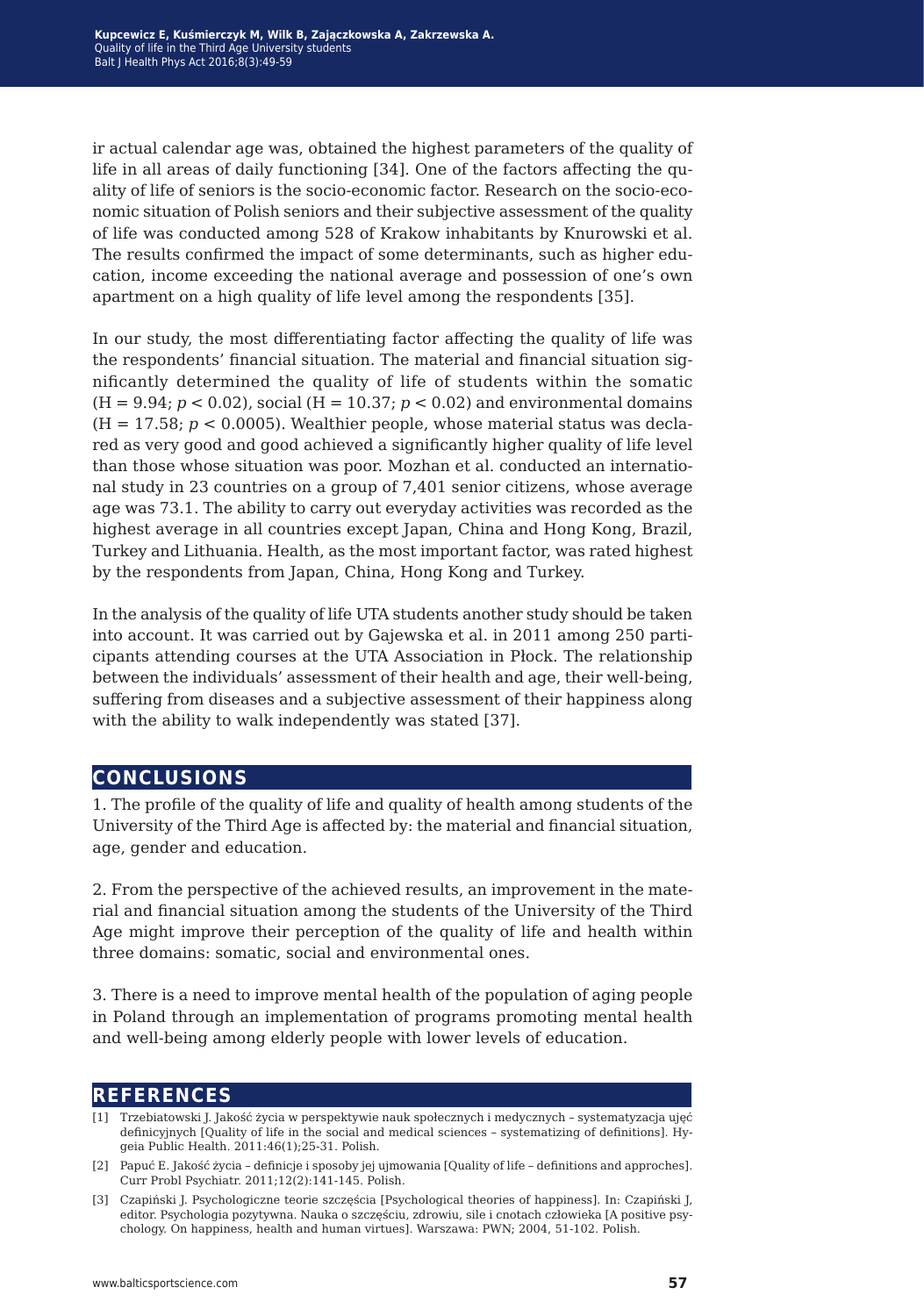ir actual calendar age was, obtained the highest parameters of the quality of life in all areas of daily functioning [34]. One of the factors affecting the quality of life of seniors is the socio-economic factor. Research on the socio-economic situation of Polish seniors and their subjective assessment of the quality of life was conducted among 528 of Krakow inhabitants by Knurowski et al. The results confirmed the impact of some determinants, such as higher education, income exceeding the national average and possession of one's own apartment on a high quality of life level among the respondents [35].

In our study, the most differentiating factor affecting the quality of life was the respondents' financial situation. The material and financial situation significantly determined the quality of life of students within the somatic  $(H = 9.94; p < 0.02)$ , social  $(H = 10.37; p < 0.02)$  and environmental domains  $(H = 17.58; p < 0.0005)$ . Wealthier people, whose material status was declared as very good and good achieved a significantly higher quality of life level than those whose situation was poor. Mozhan et al. conducted an international study in 23 countries on a group of 7,401 senior citizens, whose average age was 73.1. The ability to carry out everyday activities was recorded as the highest average in all countries except Japan, China and Hong Kong, Brazil, Turkey and Lithuania. Health, as the most important factor, was rated highest by the respondents from Japan, China, Hong Kong and Turkey.

In the analysis of the quality of life UTA students another study should be taken into account. It was carried out by Gajewska et al. in 2011 among 250 participants attending courses at the UTA Association in Płock. The relationship between the individuals' assessment of their health and age, their well-being, suffering from diseases and a subjective assessment of their happiness along with the ability to walk independently was stated [37].

#### **conclusions**

1. The profile of the quality of life and quality of health among students of the University of the Third Age is affected by: the material and financial situation, age, gender and education.

2. From the perspective of the achieved results, an improvement in the material and financial situation among the students of the University of the Third Age might improve their perception of the quality of life and health within three domains: somatic, social and environmental ones.

3. There is a need to improve mental health of the population of aging people in Poland through an implementation of programs promoting mental health and well-being among elderly people with lower levels of education.

#### **references**

- [1] Trzebiatowski J. Jakość życia w perspektywie nauk społecznych i medycznych systematyzacja ujęć definicyjnych [Quality of life in the social and medical sciences – systematizing of definitions]. Hygeia Public Health. 2011:46(1);25-31. Polish.
- [2] Papuć E. Jakość życia definicje i sposoby jej ujmowania [Quality of life definitions and approches]. Curr Probl Psychiatr. 2011;12(2):141-145. Polish.
- [3] Czapiński J. Psychologiczne teorie szczęścia [Psychological theories of happiness]. In: Czapiński J, editor. Psychologia pozytywna. Nauka o szczęściu, zdrowiu, sile i cnotach człowieka [A positive psychology. On happiness, health and human virtues]. Warszawa: PWN; 2004, 51-102. Polish.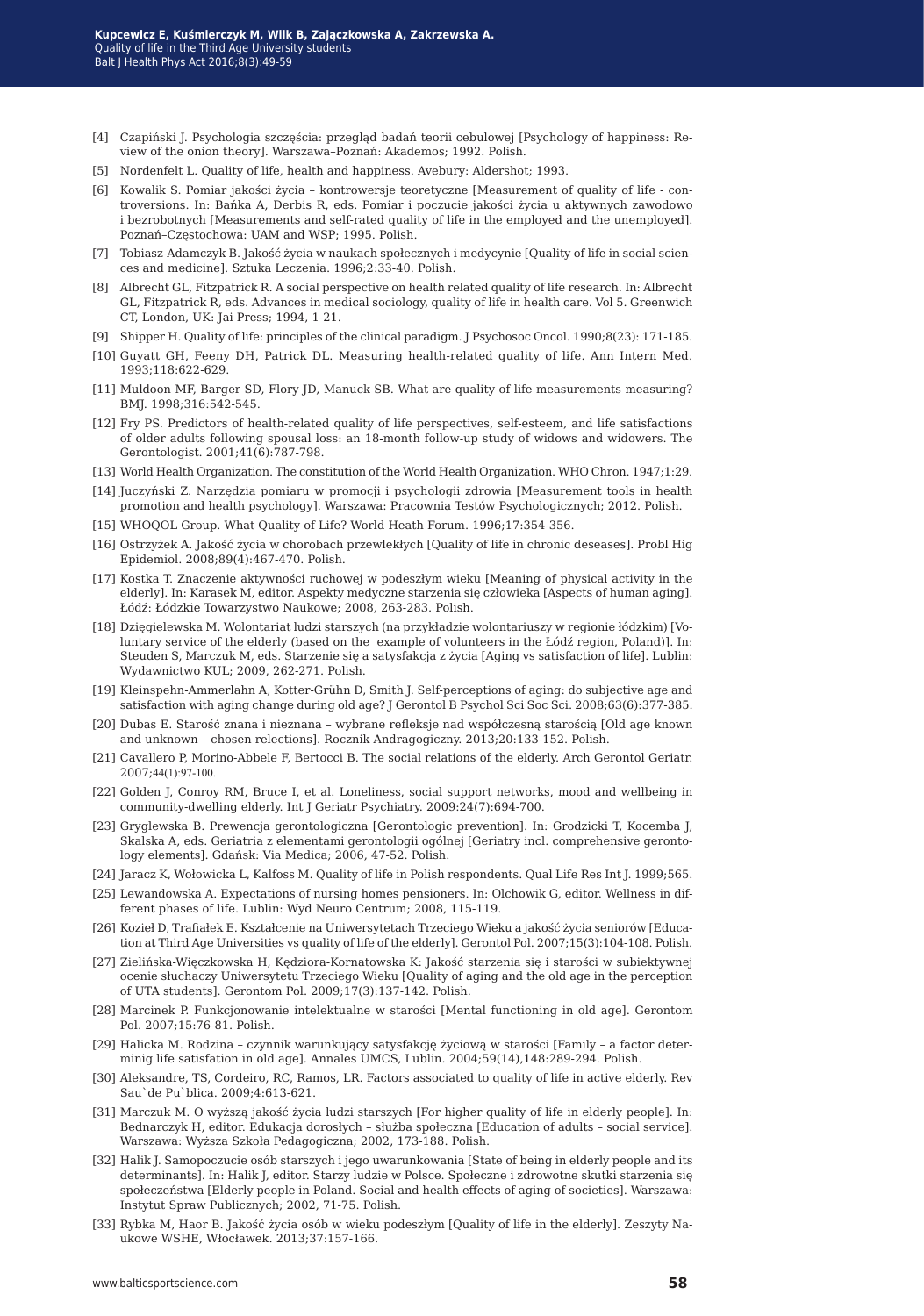- [4] Czapiński J. Psychologia szczęścia: przegląd badań teorii cebulowej [Psychology of happiness: Review of the onion theory]. Warszawa–Poznań: Akademos; 1992. Polish.
- [5] Nordenfelt L. Quality of life, health and happiness. Avebury: Aldershot; 1993.
- [6] Kowalik S. Pomiar jakości życia kontrowersje teoretyczne [Measurement of quality of life controversions. In: Bańka A, Derbis R, eds. Pomiar i poczucie jakości życia u aktywnych zawodowo i bezrobotnych [Measurements and self-rated quality of life in the employed and the unemployed]. Poznań–Częstochowa: UAM and WSP; 1995. Polish.
- [7] Tobiasz-Adamczyk B. Jakość życia w naukach społecznych i medycynie [Quality of life in social sciences and medicine]. Sztuka Leczenia. 1996;2:33-40. Polish.
- [8] Albrecht GL, Fitzpatrick R. A social perspective on health related quality of life research. In: Albrecht GL, Fitzpatrick R, eds. Advances in medical sociology, quality of life in health care. Vol 5. Greenwich CT, London, UK: Jai Press; 1994, 1-21.
- [9] Shipper H. Quality of life: principles of the clinical paradigm. J Psychosoc Oncol. 1990;8(23): 171-185.
- [10] Guyatt GH, Feeny DH, Patrick DL. Measuring health-related quality of life. Ann Intern Med. 1993;118:622-629.
- [11] Muldoon MF, Barger SD, Flory JD, Manuck SB. What are quality of life measurements measuring? BMJ. 1998;316:542-545.
- [12] Fry PS. Predictors of health-related quality of life perspectives, self-esteem, and life satisfactions of older adults following spousal loss: an 18-month follow-up study of widows and widowers. The Gerontologist. 2001;41(6):787-798.
- [13] World Health Organization. The constitution of the World Health Organization. WHO Chron. 1947;1:29.
- [14] Juczyński Z. Narzędzia pomiaru w promocji i psychologii zdrowia [Measurement tools in health promotion and health psychology]. Warszawa: Pracownia Testów Psychologicznych; 2012. Polish.
- [15] WHOQOL Group. What Quality of Life? World Heath Forum. 1996;17:354-356.
- [16] Ostrzyżek A. Jakość życia w chorobach przewlekłych [Quality of life in chronic deseases]. Probl Hig Epidemiol. 2008;89(4):467-470. Polish.
- [17] Kostka T. Znaczenie aktywności ruchowej w podeszłym wieku [Meaning of physical activity in the elderly]. In: Karasek M, editor. Aspekty medyczne starzenia się człowieka [Aspects of human aging]. Łódź: Łódzkie Towarzystwo Naukowe; 2008, 263-283. Polish.
- [18] Dzięgielewska M. Wolontariat ludzi starszych (na przykładzie wolontariuszy w regionie łódzkim) [Voluntary service of the elderly (based on the example of volunteers in the Łódź region, Poland)]. In: Steuden S, Marczuk M, eds. Starzenie się a satysfakcja z życia [Aging vs satisfaction of life]. Lublin: Wydawnictwo KUL; 2009, 262-271. Polish.
- [19] Kleinspehn-Ammerlahn A, Kotter-Grühn D, Smith J. Self-perceptions of aging: do subjective age and satisfaction with aging change during old age? J Gerontol B Psychol Sci Soc Sci. 2008;63(6):377-385.
- [20] Dubas E. Starość znana i nieznana wybrane refleksje nad współczesną starością [Old age known and unknown – chosen relections]. Rocznik Andragogiczny. 2013;20:133-152. Polish.
- [21] Cavallero P, Morino-Abbele F, Bertocci B. The social relations of the elderly. Arch Gerontol Geriatr. 2007;44(1):97-100.
- [22] Golden J, Conroy RM, Bruce I, et al. Loneliness, social support networks, mood and wellbeing in community-dwelling elderly. Int J Geriatr Psychiatry. 2009:24(7):694-700.
- [23] Gryglewska B. Prewencja gerontologiczna [Gerontologic prevention]. In: Grodzicki T, Kocemba J, Skalska A, eds. Geriatria z elementami gerontologii ogólnej [Geriatry incl. comprehensive gerontology elements]. Gdańsk: Via Medica; 2006, 47-52. Polish.
- [24] Jaracz K, Wołowicka L, Kalfoss M. Quality of life in Polish respondents. Qual Life Res Int J. 1999;565.
- [25] Lewandowska A. Expectations of nursing homes pensioners. In: Olchowik G, editor. Wellness in different phases of life. Lublin: Wyd Neuro Centrum; 2008, 115-119.
- [26] Kozieł D, Trafiałek E. Kształcenie na Uniwersytetach Trzeciego Wieku a jakość życia seniorów [Education at Third Age Universities vs quality of life of the elderly]. Gerontol Pol. 2007;15(3):104-108. Polish.
- [27] Zielińska-Więczkowska H, Kędziora-Kornatowska K: Jakość starzenia się i starości w subiektywnej ocenie słuchaczy Uniwersytetu Trzeciego Wieku [Quality of aging and the old age in the perception of UTA students]. Gerontom Pol. 2009;17(3):137-142. Polish.
- [28] Marcinek P. Funkcjonowanie intelektualne w starości [Mental functioning in old age]. Gerontom Pol. 2007;15:76-81. Polish.
- [29] Halicka M. Rodzina czynnik warunkujący satysfakcję życiową w starości [Family a factor determinig life satisfation in old age]. Annales UMCS, Lublin. 2004;59(14),148:289-294. Polish.
- [30] Aleksandre, TS, Cordeiro, RC, Ramos, LR. Factors associated to quality of life in active elderly. Rev Sau`de Pu`blica. 2009;4:613-621.
- [31] Marczuk M. O wyższą jakość życia ludzi starszych [For higher quality of life in elderly people]. In: Bednarczyk H, editor. Edukacja dorosłych – służba społeczna [Education of adults – social service]. Warszawa: Wyższa Szkoła Pedagogiczna; 2002, 173-188. Polish.
- [32] Halik J. Samopoczucie osób starszych i jego uwarunkowania [State of being in elderly people and its determinants]. In: Halik J, editor. Starzy ludzie w Polsce. Społeczne i zdrowotne skutki starzenia się społeczeństwa [Elderly people in Poland. Social and health effects of aging of societies]. Warszawa: Instytut Spraw Publicznych; 2002, 71-75. Polish.
- [33] Rybka M, Haor B. Jakość życia osób w wieku podeszłym [Quality of life in the elderly]. Zeszyty Naukowe WSHE, Włocławek. 2013;37:157-166.